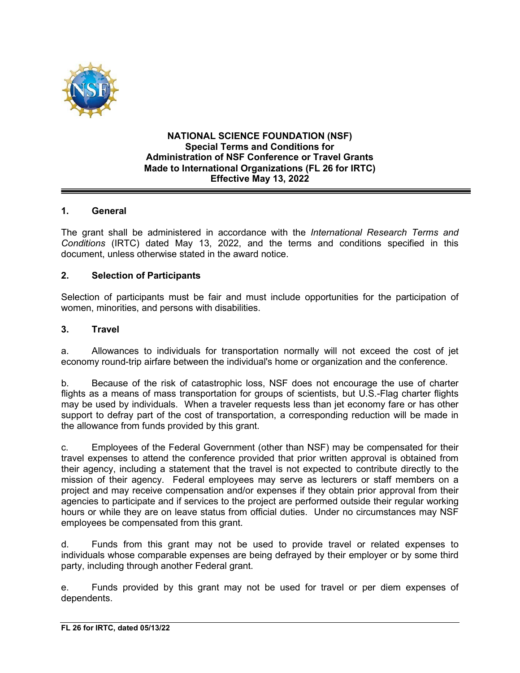

### **NATIONAL SCIENCE FOUNDATION (NSF) Special Terms and Conditions for Administration of NSF Conference or Travel Grants Made to International Organizations (FL 26 for IRTC) Effective May 13, 2022**

## **1. General**

The grant shall be administered in accordance with the *International Research Terms and Conditions* (IRTC) dated May 13, 2022, and the terms and conditions specified in this document, unless otherwise stated in the award notice.

### **2. Selection of Participants**

Selection of participants must be fair and must include opportunities for the participation of women, minorities, and persons with disabilities.

### **3. Travel**

a. Allowances to individuals for transportation normally will not exceed the cost of jet economy round-trip airfare between the individual's home or organization and the conference.

b. Because of the risk of catastrophic loss, NSF does not encourage the use of charter flights as a means of mass transportation for groups of scientists, but U.S.-Flag charter flights may be used by individuals. When a traveler requests less than jet economy fare or has other support to defray part of the cost of transportation, a corresponding reduction will be made in the allowance from funds provided by this grant.

c. Employees of the Federal Government (other than NSF) may be compensated for their travel expenses to attend the conference provided that prior written approval is obtained from their agency, including a statement that the travel is not expected to contribute directly to the mission of their agency. Federal employees may serve as lecturers or staff members on a project and may receive compensation and/or expenses if they obtain prior approval from their agencies to participate and if services to the project are performed outside their regular working hours or while they are on leave status from official duties. Under no circumstances may NSF employees be compensated from this grant.

d. Funds from this grant may not be used to provide travel or related expenses to individuals whose comparable expenses are being defrayed by their employer or by some third party, including through another Federal grant.

e. Funds provided by this grant may not be used for travel or per diem expenses of dependents.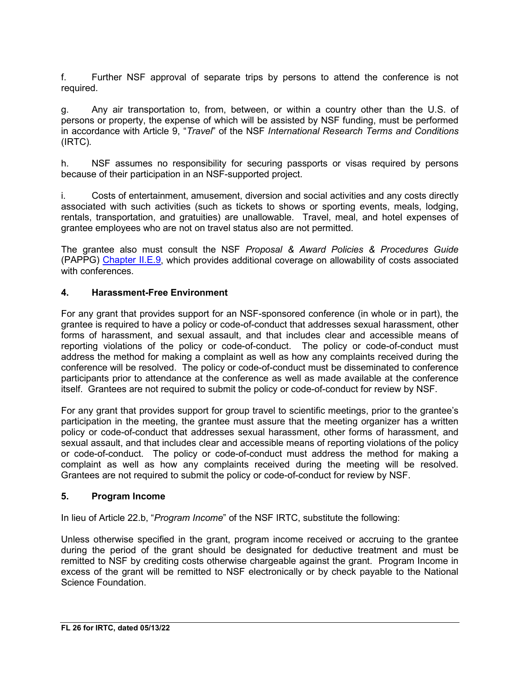f. Further NSF approval of separate trips by persons to attend the conference is not required.

g. Any air transportation to, from, between, or within a country other than the U.S. of persons or property, the expense of which will be assisted by NSF funding, must be performed in accordance with Article 9, "*Travel*" of the NSF *International Research Terms and Conditions* (IRTC)*.* 

h. NSF assumes no responsibility for securing passports or visas required by persons because of their participation in an NSF-supported project.

i. Costs of entertainment, amusement, diversion and social activities and any costs directly associated with such activities (such as tickets to shows or sporting events, meals, lodging, rentals, transportation, and gratuities) are unallowable. Travel, meal, and hotel expenses of grantee employees who are not on travel status also are not permitted.

The grantee also must consult the NSF *Proposal & Award Policies & Procedures Guide* (PAPPG) Chapter II.E.9, which provides additional coverage on allowability of costs associated with conferences.

# **4. Harassment-Free Environment**

For any grant that provides support for an NSF-sponsored conference (in whole or in part), the grantee is required to have a policy or code-of-conduct that addresses sexual harassment, other forms of harassment, and sexual assault, and that includes clear and accessible means of reporting violations of the policy or code-of-conduct. The policy or code-of-conduct must address the method for making a complaint as well as how any complaints received during the conference will be resolved. The policy or code-of-conduct must be disseminated to conference participants prior to attendance at the conference as well as made available at the conference itself. Grantees are not required to submit the policy or code-of-conduct for review by NSF.

For any grant that provides support for group travel to scientific meetings, prior to the grantee's participation in the meeting, the grantee must assure that the meeting organizer has a written policy or code-of-conduct that addresses sexual harassment, other forms of harassment, and sexual assault, and that includes clear and accessible means of reporting violations of the policy or code-of-conduct. The policy or code-of-conduct must address the method for making a complaint as well as how any complaints received during the meeting will be resolved. Grantees are not required to submit the policy or code-of-conduct for review by NSF.

### **5. Program Income**

In lieu of Article 22.b, "*Program Income*" of the NSF IRTC, substitute the following:

Unless otherwise specified in the grant, program income received or accruing to the grantee during the period of the grant should be designated for deductive treatment and must be remitted to NSF by crediting costs otherwise chargeable against the grant. Program Income in excess of the grant will be remitted to NSF electronically or by check payable to the National Science Foundation.